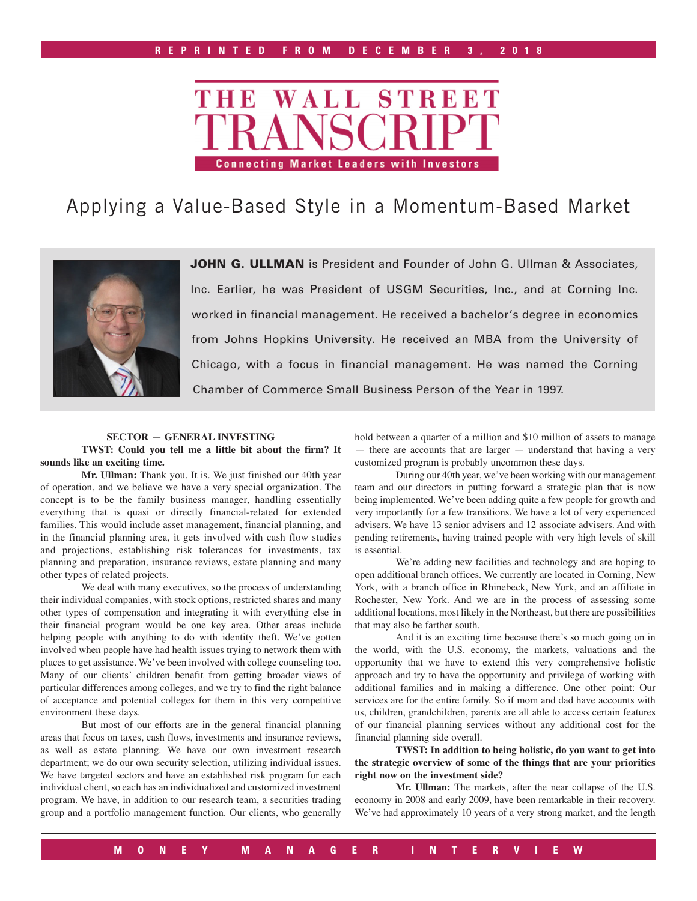

# Applying a Value-Based Style in a Momentum-Based Market



JOHN G. ULLMAN is President and Founder of John G. Ullman & Associates, Inc. Earlier, he was President of USGM Securities, Inc., and at Corning Inc. worked in financial management. He received a bachelor's degree in economics from Johns Hopkins University. He received an MBA from the University of Chicago, with a focus in financial management. He was named the Corning Chamber of Commerce Small Business Person of the Year in 1997.

#### **SECTOR — GENERAL INVESTING**

**TWST: Could you tell me a little bit about the firm? It sounds like an exciting time.**

**Mr. Ullman:** Thank you. It is. We just finished our 40th year of operation, and we believe we have a very special organization. The concept is to be the family business manager, handling essentially everything that is quasi or directly financial-related for extended families. This would include asset management, financial planning, and in the financial planning area, it gets involved with cash flow studies and projections, establishing risk tolerances for investments, tax planning and preparation, insurance reviews, estate planning and many other types of related projects.

We deal with many executives, so the process of understanding their individual companies, with stock options, restricted shares and many other types of compensation and integrating it with everything else in their financial program would be one key area. Other areas include helping people with anything to do with identity theft. We've gotten involved when people have had health issues trying to network them with places to get assistance. We've been involved with college counseling too. Many of our clients' children benefit from getting broader views of particular differences among colleges, and we try to find the right balance of acceptance and potential colleges for them in this very competitive environment these days.

But most of our efforts are in the general financial planning areas that focus on taxes, cash flows, investments and insurance reviews, as well as estate planning. We have our own investment research department; we do our own security selection, utilizing individual issues. We have targeted sectors and have an established risk program for each individual client, so each has an individualized and customized investment program. We have, in addition to our research team, a securities trading group and a portfolio management function. Our clients, who generally

hold between a quarter of a million and \$10 million of assets to manage — there are accounts that are larger — understand that having a very customized program is probably uncommon these days.

During our 40th year, we've been working with our management team and our directors in putting forward a strategic plan that is now being implemented. We've been adding quite a few people for growth and very importantly for a few transitions. We have a lot of very experienced advisers. We have 13 senior advisers and 12 associate advisers. And with pending retirements, having trained people with very high levels of skill is essential.

We're adding new facilities and technology and are hoping to open additional branch offices. We currently are located in Corning, New York, with a branch office in Rhinebeck, New York, and an affiliate in Rochester, New York. And we are in the process of assessing some additional locations, most likely in the Northeast, but there are possibilities that may also be farther south.

And it is an exciting time because there's so much going on in the world, with the U.S. economy, the markets, valuations and the opportunity that we have to extend this very comprehensive holistic approach and try to have the opportunity and privilege of working with additional families and in making a difference. One other point: Our services are for the entire family. So if mom and dad have accounts with us, children, grandchildren, parents are all able to access certain features of our financial planning services without any additional cost for the financial planning side overall.

**TWST: In addition to being holistic, do you want to get into the strategic overview of some of the things that are your priorities right now on the investment side?**

**Mr. Ullman:** The markets, after the near collapse of the U.S. economy in 2008 and early 2009, have been remarkable in their recovery. We've had approximately 10 years of a very strong market, and the length

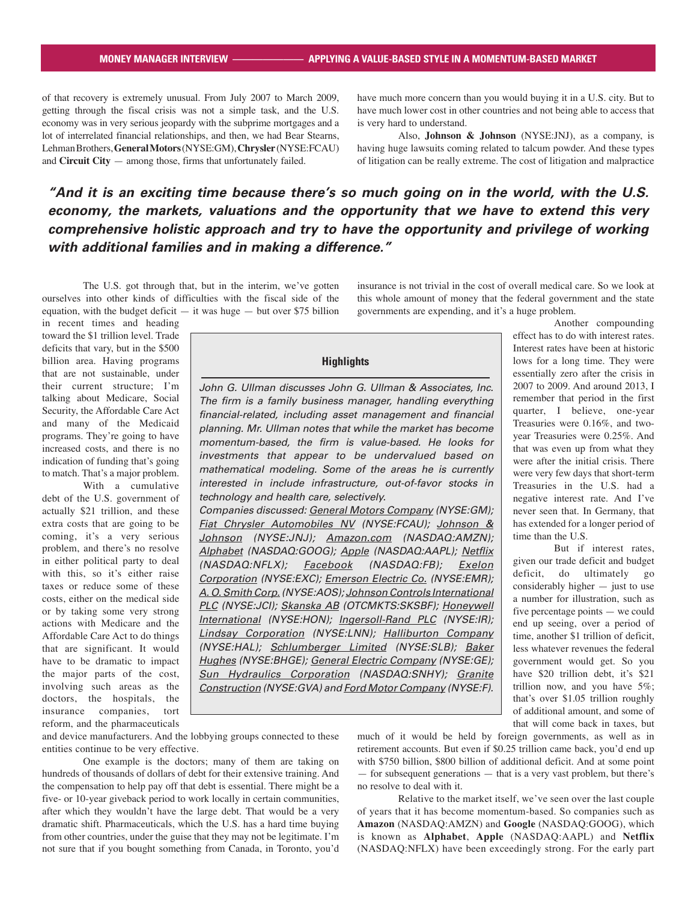of that recovery is extremely unusual. From July 2007 to March 2009, getting through the fiscal crisis was not a simple task, and the U.S. economy was in very serious jeopardy with the subprime mortgages and a lot of interrelated financial relationships, and then, we had Bear Stearns, Lehman Brothers, **General Motors** (NYSE:GM), **Chrysler** (NYSE:FCAU) and **Circuit City** — among those, firms that unfortunately failed.

have much more concern than you would buying it in a U.S. city. But to have much lower cost in other countries and not being able to access that is very hard to understand.

Also, **Johnson & Johnson** (NYSE:JNJ), as a company, is having huge lawsuits coming related to talcum powder. And these types of litigation can be really extreme. The cost of litigation and malpractice

insurance is not trivial in the cost of overall medical care. So we look at this whole amount of money that the federal government and the state

governments are expending, and it's a huge problem.

# *"And it is an exciting time because there's so much going on in the world, with the U.S. economy, the markets, valuations and the opportunity that we have to extend this very comprehensive holistic approach and try to have the opportunity and privilege of working with additional families and in making a difference."*

The U.S. got through that, but in the interim, we've gotten ourselves into other kinds of difficulties with the fiscal side of the equation, with the budget deficit  $-$  it was huge  $-$  but over \$75 billion

in recent times and heading toward the \$1 trillion level. Trade deficits that vary, but in the \$500 billion area. Having programs that are not sustainable, under their current structure; I'm talking about Medicare, Social Security, the Affordable Care Act and many of the Medicaid programs. They're going to have increased costs, and there is no indication of funding that's going to match. That's a major problem.

With a cumulative debt of the U.S. government of actually \$21 trillion, and these extra costs that are going to be coming, it's a very serious problem, and there's no resolve in either political party to deal with this, so it's either raise taxes or reduce some of these costs, either on the medical side or by taking some very strong actions with Medicare and the Affordable Care Act to do things that are significant. It would have to be dramatic to impact the major parts of the cost, involving such areas as the doctors, the hospitals, the insurance companies, tort reform, and the pharmaceuticals

**Highlights**

John G. Ullman discusses John G. Ullman & Associates, Inc. The firm is a family business manager, handling everything financial-related, including asset management and financial planning. Mr. Ullman notes that while the market has become momentum-based, the firm is value-based. He looks for investments that appear to be undervalued based on mathematical modeling. Some of the areas he is currently interested in include infrastructure, out-of-favor stocks in technology and health care, selectively. Companies discussed: General Motors Company (NYSE:GM); Fiat Chrysler Automobiles NV (NYSE:FCAU); Johnson &

Johnson (NYSE:JNJ); Amazon.com (NASDAQ:AMZN); Alphabet (NASDAQ:GOOG); Apple (NASDAQ:AAPL); Netflix (NASDAQ:NFLX); Facebook (NASDAQ:FB); Exelon Corporation (NYSE:EXC); Emerson Electric Co. (NYSE:EMR); A. O. Smith Corp. (NYSE:AOS); Johnson Controls International PLC (NYSE:JCI); Skanska AB (OTCMKTS:SKSBF); Honeywell International (NYSE:HON); Ingersoll-Rand PLC (NYSE:IR); Lindsay Corporation (NYSE:LNN); Halliburton Company (NYSE:HAL); Schlumberger Limited (NYSE:SLB); Baker Hughes (NYSE:BHGE); General Electric Company (NYSE:GE); Sun Hydraulics Corporation (NASDAQ:SNHY); Granite Construction (NYSE:GVA) and Ford Motor Company (NYSE:F).

Another compounding effect has to do with interest rates. Interest rates have been at historic lows for a long time. They were essentially zero after the crisis in 2007 to 2009. And around 2013, I remember that period in the first quarter, I believe, one-year Treasuries were 0.16%, and twoyear Treasuries were 0.25%. And that was even up from what they were after the initial crisis. There were very few days that short-term Treasuries in the U.S. had a negative interest rate. And I've never seen that. In Germany, that has extended for a longer period of time than the U.S.

But if interest rates, given our trade deficit and budget deficit, do ultimately go considerably higher — just to use a number for illustration, such as five percentage points — we could end up seeing, over a period of time, another \$1 trillion of deficit, less whatever revenues the federal government would get. So you have \$20 trillion debt, it's \$21 trillion now, and you have 5%; that's over \$1.05 trillion roughly of additional amount, and some of that will come back in taxes, but

and device manufacturers. And the lobbying groups connected to these entities continue to be very effective.

One example is the doctors; many of them are taking on hundreds of thousands of dollars of debt for their extensive training. And the compensation to help pay off that debt is essential. There might be a five- or 10-year giveback period to work locally in certain communities, after which they wouldn't have the large debt. That would be a very dramatic shift. Pharmaceuticals, which the U.S. has a hard time buying from other countries, under the guise that they may not be legitimate. I'm not sure that if you bought something from Canada, in Toronto, you'd

much of it would be held by foreign governments, as well as in retirement accounts. But even if \$0.25 trillion came back, you'd end up with \$750 billion, \$800 billion of additional deficit. And at some point — for subsequent generations — that is a very vast problem, but there's no resolve to deal with it.

Relative to the market itself, we've seen over the last couple of years that it has become momentum-based. So companies such as **Amazon** (NASDAQ:AMZN) and **Google** (NASDAQ:GOOG), which is known as **Alphabet**, **Apple** (NASDAQ:AAPL) and **Netflix**  (NASDAQ:NFLX) have been exceedingly strong. For the early part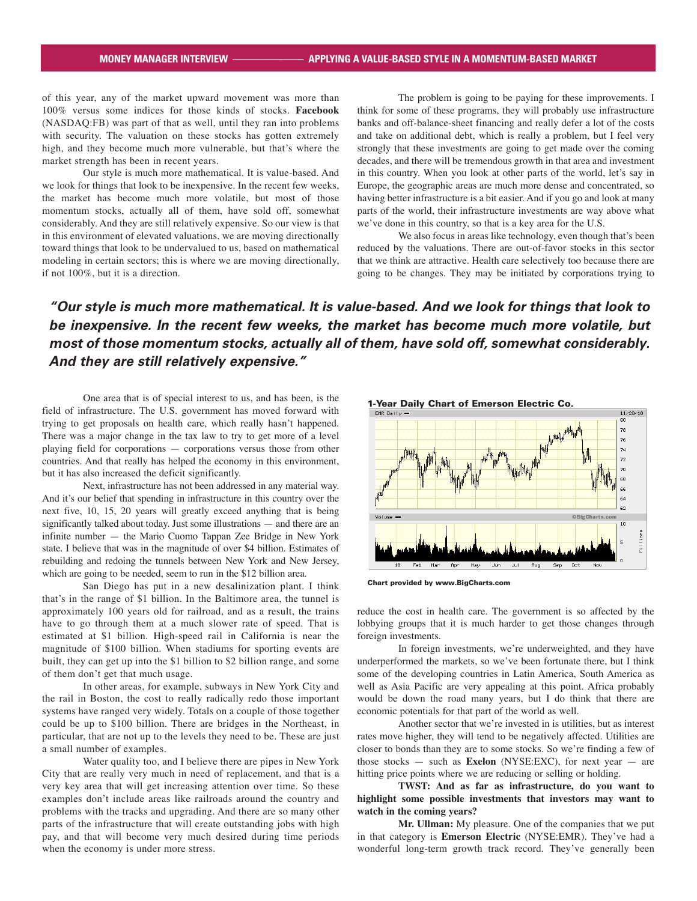of this year, any of the market upward movement was more than 100% versus some indices for those kinds of stocks. **Facebook**  (NASDAQ:FB) was part of that as well, until they ran into problems with security. The valuation on these stocks has gotten extremely high, and they become much more vulnerable, but that's where the market strength has been in recent years.

Our style is much more mathematical. It is value-based. And we look for things that look to be inexpensive. In the recent few weeks, the market has become much more volatile, but most of those momentum stocks, actually all of them, have sold off, somewhat considerably. And they are still relatively expensive. So our view is that in this environment of elevated valuations, we are moving directionally toward things that look to be undervalued to us, based on mathematical modeling in certain sectors; this is where we are moving directionally, if not 100%, but it is a direction.

The problem is going to be paying for these improvements. I think for some of these programs, they will probably use infrastructure banks and off-balance-sheet financing and really defer a lot of the costs and take on additional debt, which is really a problem, but I feel very strongly that these investments are going to get made over the coming decades, and there will be tremendous growth in that area and investment in this country. When you look at other parts of the world, let's say in Europe, the geographic areas are much more dense and concentrated, so having better infrastructure is a bit easier. And if you go and look at many parts of the world, their infrastructure investments are way above what we've done in this country, so that is a key area for the U.S.

We also focus in areas like technology, even though that's been reduced by the valuations. There are out-of-favor stocks in this sector that we think are attractive. Health care selectively too because there are going to be changes. They may be initiated by corporations trying to

*"Our style is much more mathematical. It is value-based. And we look for things that look to be inexpensive. In the recent few weeks, the market has become much more volatile, but most of those momentum stocks, actually all of them, have sold off, somewhat considerably. And they are still relatively expensive."*

One area that is of special interest to us, and has been, is the field of infrastructure. The U.S. government has moved forward with trying to get proposals on health care, which really hasn't happened. There was a major change in the tax law to try to get more of a level playing field for corporations — corporations versus those from other countries. And that really has helped the economy in this environment, but it has also increased the deficit significantly.

Next, infrastructure has not been addressed in any material way. And it's our belief that spending in infrastructure in this country over the next five, 10, 15, 20 years will greatly exceed anything that is being significantly talked about today. Just some illustrations — and there are an infinite number — the Mario Cuomo Tappan Zee Bridge in New York state. I believe that was in the magnitude of over \$4 billion. Estimates of rebuilding and redoing the tunnels between New York and New Jersey, which are going to be needed, seem to run in the \$12 billion area.

San Diego has put in a new desalinization plant. I think that's in the range of \$1 billion. In the Baltimore area, the tunnel is approximately 100 years old for railroad, and as a result, the trains have to go through them at a much slower rate of speed. That is estimated at \$1 billion. High-speed rail in California is near the magnitude of \$100 billion. When stadiums for sporting events are built, they can get up into the \$1 billion to \$2 billion range, and some of them don't get that much usage.

In other areas, for example, subways in New York City and the rail in Boston, the cost to really radically redo those important systems have ranged very widely. Totals on a couple of those together could be up to \$100 billion. There are bridges in the Northeast, in particular, that are not up to the levels they need to be. These are just a small number of examples.

Water quality too, and I believe there are pipes in New York City that are really very much in need of replacement, and that is a very key area that will get increasing attention over time. So these examples don't include areas like railroads around the country and problems with the tracks and upgrading. And there are so many other parts of the infrastructure that will create outstanding jobs with high pay, and that will become very much desired during time periods when the economy is under more stress.



Chart provided by www.BigCharts.com

reduce the cost in health care. The government is so affected by the lobbying groups that it is much harder to get those changes through foreign investments.

In foreign investments, we're underweighted, and they have underperformed the markets, so we've been fortunate there, but I think some of the developing countries in Latin America, South America as well as Asia Pacific are very appealing at this point. Africa probably would be down the road many years, but I do think that there are economic potentials for that part of the world as well.

Another sector that we're invested in is utilities, but as interest rates move higher, they will tend to be negatively affected. Utilities are closer to bonds than they are to some stocks. So we're finding a few of those stocks — such as **Exelon** (NYSE:EXC), for next year — are hitting price points where we are reducing or selling or holding.

**TWST: And as far as infrastructure, do you want to highlight some possible investments that investors may want to watch in the coming years?**

**Mr. Ullman:** My pleasure. One of the companies that we put in that category is **Emerson Electric** (NYSE:EMR). They've had a wonderful long-term growth track record. They've generally been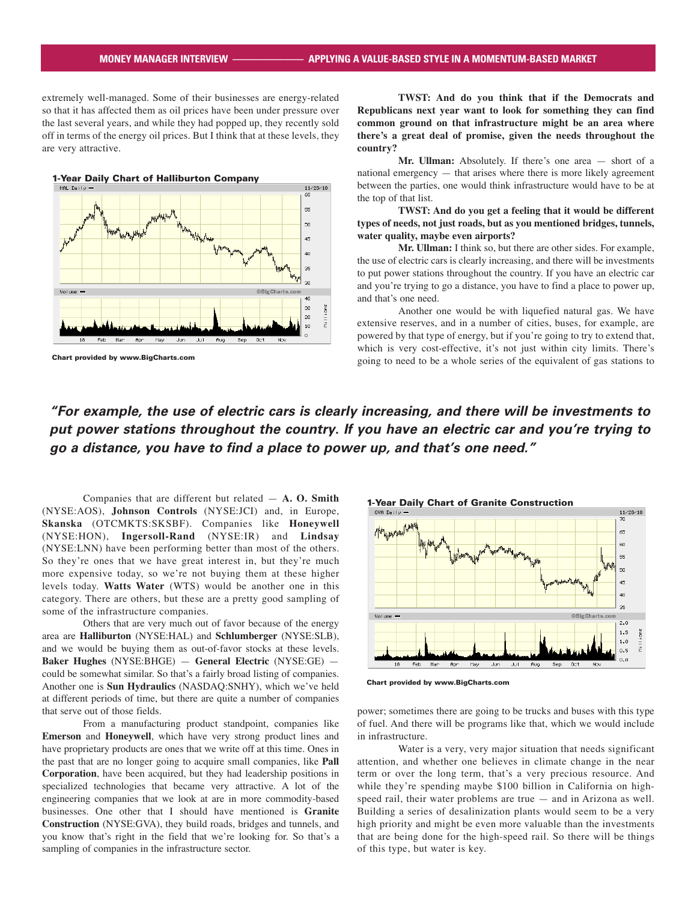extremely well-managed. Some of their businesses are energy-related so that it has affected them as oil prices have been under pressure over the last several years, and while they had popped up, they recently sold off in terms of the energy oil prices. But I think that at these levels, they are very attractive.



Chart provided by www.BigCharts.com

**TWST: And do you think that if the Democrats and Republicans next year want to look for something they can find common ground on that infrastructure might be an area where there's a great deal of promise, given the needs throughout the country?**

**Mr. Ullman:** Absolutely. If there's one area — short of a national emergency — that arises where there is more likely agreement between the parties, one would think infrastructure would have to be at the top of that list.

#### **TWST: And do you get a feeling that it would be different types of needs, not just roads, but as you mentioned bridges, tunnels, water quality, maybe even airports?**

**Mr. Ullman:** I think so, but there are other sides. For example, the use of electric cars is clearly increasing, and there will be investments to put power stations throughout the country. If you have an electric car and you're trying to go a distance, you have to find a place to power up, and that's one need.

Another one would be with liquefied natural gas. We have extensive reserves, and in a number of cities, buses, for example, are powered by that type of energy, but if you're going to try to extend that, which is very cost-effective, it's not just within city limits. There's going to need to be a whole series of the equivalent of gas stations to

### *"For example, the use of electric cars is clearly increasing, and there will be investments to put power stations throughout the country. If you have an electric car and you're trying to go a distance, you have to find a place to power up, and that's one need."*

Companies that are different but related — **A. O. Smith**  (NYSE:AOS), **Johnson Controls** (NYSE:JCI) and, in Europe, **Skanska** (OTCMKTS:SKSBF). Companies like **Honeywell**  (NYSE:HON), **Ingersoll-Rand** (NYSE:IR) and **Lindsay** (NYSE:LNN) have been performing better than most of the others. So they're ones that we have great interest in, but they're much more expensive today, so we're not buying them at these higher levels today. **Watts Water** (WTS) would be another one in this category. There are others, but these are a pretty good sampling of some of the infrastructure companies.

Others that are very much out of favor because of the energy area are **Halliburton** (NYSE:HAL) and **Schlumberger** (NYSE:SLB), and we would be buying them as out-of-favor stocks at these levels. **Baker Hughes** (NYSE:BHGE) — **General Electric** (NYSE:GE) could be somewhat similar. So that's a fairly broad listing of companies. Another one is **Sun Hydraulics** (NASDAQ:SNHY), which we've held at different periods of time, but there are quite a number of companies that serve out of those fields.

From a manufacturing product standpoint, companies like **Emerson** and **Honeywell**, which have very strong product lines and have proprietary products are ones that we write off at this time. Ones in the past that are no longer going to acquire small companies, like **Pall Corporation**, have been acquired, but they had leadership positions in specialized technologies that became very attractive. A lot of the engineering companies that we look at are in more commodity-based businesses. One other that I should have mentioned is **Granite Construction** (NYSE:GVA), they build roads, bridges and tunnels, and you know that's right in the field that we're looking for. So that's a sampling of companies in the infrastructure sector.





power; sometimes there are going to be trucks and buses with this type of fuel. And there will be programs like that, which we would include in infrastructure.

Water is a very, very major situation that needs significant attention, and whether one believes in climate change in the near term or over the long term, that's a very precious resource. And while they're spending maybe \$100 billion in California on highspeed rail, their water problems are true — and in Arizona as well. Building a series of desalinization plants would seem to be a very high priority and might be even more valuable than the investments that are being done for the high-speed rail. So there will be things of this type, but water is key.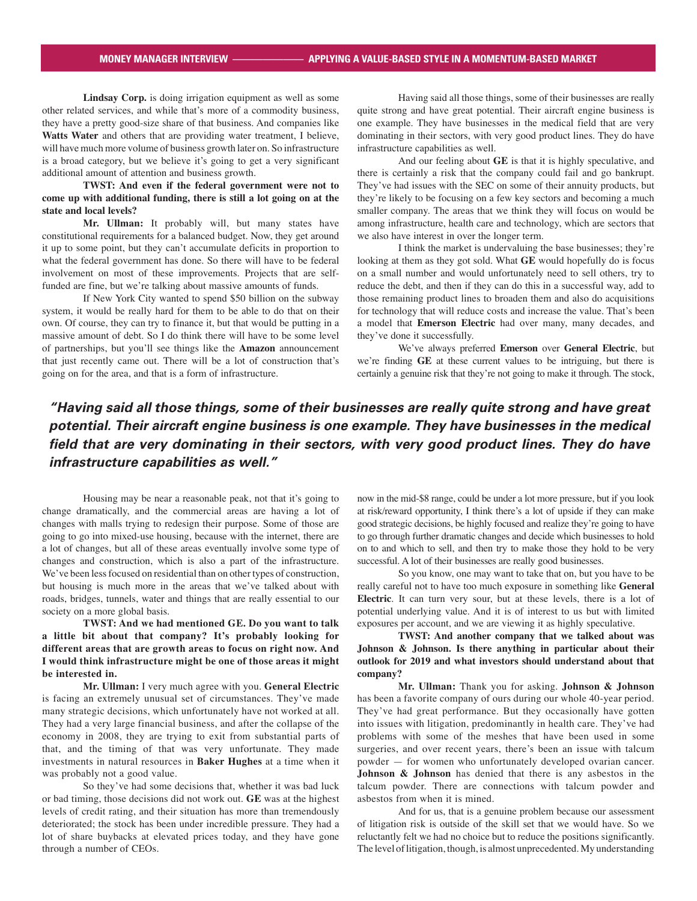Lindsay Corp. is doing irrigation equipment as well as some other related services, and while that's more of a commodity business, they have a pretty good-size share of that business. And companies like **Watts Water** and others that are providing water treatment, I believe, will have much more volume of business growth later on. So infrastructure is a broad category, but we believe it's going to get a very significant additional amount of attention and business growth.

**TWST: And even if the federal government were not to come up with additional funding, there is still a lot going on at the state and local levels?**

**Mr. Ullman:** It probably will, but many states have constitutional requirements for a balanced budget. Now, they get around it up to some point, but they can't accumulate deficits in proportion to what the federal government has done. So there will have to be federal involvement on most of these improvements. Projects that are selffunded are fine, but we're talking about massive amounts of funds.

If New York City wanted to spend \$50 billion on the subway system, it would be really hard for them to be able to do that on their own. Of course, they can try to finance it, but that would be putting in a massive amount of debt. So I do think there will have to be some level of partnerships, but you'll see things like the **Amazon** announcement that just recently came out. There will be a lot of construction that's going on for the area, and that is a form of infrastructure.

Having said all those things, some of their businesses are really quite strong and have great potential. Their aircraft engine business is one example. They have businesses in the medical field that are very dominating in their sectors, with very good product lines. They do have infrastructure capabilities as well.

And our feeling about **GE** is that it is highly speculative, and there is certainly a risk that the company could fail and go bankrupt. They've had issues with the SEC on some of their annuity products, but they're likely to be focusing on a few key sectors and becoming a much smaller company. The areas that we think they will focus on would be among infrastructure, health care and technology, which are sectors that we also have interest in over the longer term.

I think the market is undervaluing the base businesses; they're looking at them as they got sold. What **GE** would hopefully do is focus on a small number and would unfortunately need to sell others, try to reduce the debt, and then if they can do this in a successful way, add to those remaining product lines to broaden them and also do acquisitions for technology that will reduce costs and increase the value. That's been a model that **Emerson Electric** had over many, many decades, and they've done it successfully.

We've always preferred **Emerson** over **General Electric**, but we're finding **GE** at these current values to be intriguing, but there is certainly a genuine risk that they're not going to make it through. The stock,

# *"Having said all those things, some of their businesses are really quite strong and have great potential. Their aircraft engine business is one example. They have businesses in the medical field that are very dominating in their sectors, with very good product lines. They do have infrastructure capabilities as well."*

Housing may be near a reasonable peak, not that it's going to change dramatically, and the commercial areas are having a lot of changes with malls trying to redesign their purpose. Some of those are going to go into mixed-use housing, because with the internet, there are a lot of changes, but all of these areas eventually involve some type of changes and construction, which is also a part of the infrastructure. We've been less focused on residential than on other types of construction, but housing is much more in the areas that we've talked about with roads, bridges, tunnels, water and things that are really essential to our society on a more global basis.

### **TWST: And we had mentioned GE. Do you want to talk a little bit about that company? It's probably looking for different areas that are growth areas to focus on right now. And I would think infrastructure might be one of those areas it might be interested in.**

**Mr. Ullman:** I very much agree with you. **General Electric** is facing an extremely unusual set of circumstances. They've made many strategic decisions, which unfortunately have not worked at all. They had a very large financial business, and after the collapse of the economy in 2008, they are trying to exit from substantial parts of that, and the timing of that was very unfortunate. They made investments in natural resources in **Baker Hughes** at a time when it was probably not a good value.

So they've had some decisions that, whether it was bad luck or bad timing, those decisions did not work out. **GE** was at the highest levels of credit rating, and their situation has more than tremendously deteriorated; the stock has been under incredible pressure. They had a lot of share buybacks at elevated prices today, and they have gone through a number of CEOs.

now in the mid-\$8 range, could be under a lot more pressure, but if you look at risk/reward opportunity, I think there's a lot of upside if they can make good strategic decisions, be highly focused and realize they're going to have to go through further dramatic changes and decide which businesses to hold on to and which to sell, and then try to make those they hold to be very successful. A lot of their businesses are really good businesses.

So you know, one may want to take that on, but you have to be really careful not to have too much exposure in something like **General Electric**. It can turn very sour, but at these levels, there is a lot of potential underlying value. And it is of interest to us but with limited exposures per account, and we are viewing it as highly speculative.

**TWST: And another company that we talked about was Johnson & Johnson. Is there anything in particular about their outlook for 2019 and what investors should understand about that company?**

**Mr. Ullman:** Thank you for asking. **Johnson & Johnson** has been a favorite company of ours during our whole 40-year period. They've had great performance. But they occasionally have gotten into issues with litigation, predominantly in health care. They've had problems with some of the meshes that have been used in some surgeries, and over recent years, there's been an issue with talcum powder — for women who unfortunately developed ovarian cancer. **Johnson & Johnson** has denied that there is any asbestos in the talcum powder. There are connections with talcum powder and asbestos from when it is mined.

And for us, that is a genuine problem because our assessment of litigation risk is outside of the skill set that we would have. So we reluctantly felt we had no choice but to reduce the positions significantly. The level of litigation, though, is almost unprecedented. My understanding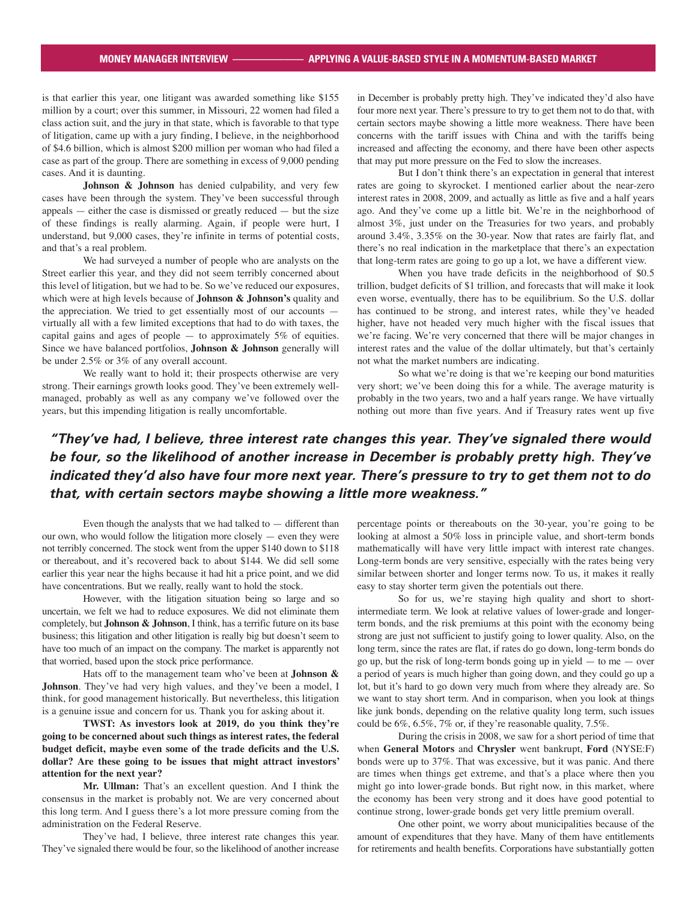is that earlier this year, one litigant was awarded something like \$155 million by a court; over this summer, in Missouri, 22 women had filed a class action suit, and the jury in that state, which is favorable to that type of litigation, came up with a jury finding, I believe, in the neighborhood of \$4.6 billion, which is almost \$200 million per woman who had filed a case as part of the group. There are something in excess of 9,000 pending cases. And it is daunting.

Johnson & Johnson has denied culpability, and very few cases have been through the system. They've been successful through  $appeals$  — either the case is dismissed or greatly reduced — but the size of these findings is really alarming. Again, if people were hurt, I understand, but 9,000 cases, they're infinite in terms of potential costs, and that's a real problem.

We had surveyed a number of people who are analysts on the Street earlier this year, and they did not seem terribly concerned about this level of litigation, but we had to be. So we've reduced our exposures, which were at high levels because of **Johnson & Johnson's** quality and the appreciation. We tried to get essentially most of our accounts virtually all with a few limited exceptions that had to do with taxes, the capital gains and ages of people  $-$  to approximately 5% of equities. Since we have balanced portfolios, **Johnson & Johnson** generally will be under 2.5% or 3% of any overall account.

We really want to hold it; their prospects otherwise are very strong. Their earnings growth looks good. They've been extremely wellmanaged, probably as well as any company we've followed over the years, but this impending litigation is really uncomfortable.

in December is probably pretty high. They've indicated they'd also have four more next year. There's pressure to try to get them not to do that, with certain sectors maybe showing a little more weakness. There have been concerns with the tariff issues with China and with the tariffs being increased and affecting the economy, and there have been other aspects that may put more pressure on the Fed to slow the increases.

But I don't think there's an expectation in general that interest rates are going to skyrocket. I mentioned earlier about the near-zero interest rates in 2008, 2009, and actually as little as five and a half years ago. And they've come up a little bit. We're in the neighborhood of almost 3%, just under on the Treasuries for two years, and probably around 3.4%, 3.35% on the 30-year. Now that rates are fairly flat, and there's no real indication in the marketplace that there's an expectation that long-term rates are going to go up a lot, we have a different view.

When you have trade deficits in the neighborhood of \$0.5 trillion, budget deficits of \$1 trillion, and forecasts that will make it look even worse, eventually, there has to be equilibrium. So the U.S. dollar has continued to be strong, and interest rates, while they've headed higher, have not headed very much higher with the fiscal issues that we're facing. We're very concerned that there will be major changes in interest rates and the value of the dollar ultimately, but that's certainly not what the market numbers are indicating.

So what we're doing is that we're keeping our bond maturities very short; we've been doing this for a while. The average maturity is probably in the two years, two and a half years range. We have virtually nothing out more than five years. And if Treasury rates went up five

# *"They've had, I believe, three interest rate changes this year. They've signaled there would be four, so the likelihood of another increase in December is probably pretty high. They've indicated they'd also have four more next year. There's pressure to try to get them not to do that, with certain sectors maybe showing a little more weakness."*

Even though the analysts that we had talked to — different than our own, who would follow the litigation more closely  $-$  even they were not terribly concerned. The stock went from the upper \$140 down to \$118 or thereabout, and it's recovered back to about \$144. We did sell some earlier this year near the highs because it had hit a price point, and we did have concentrations. But we really, really want to hold the stock.

However, with the litigation situation being so large and so uncertain, we felt we had to reduce exposures. We did not eliminate them completely, but **Johnson & Johnson**, I think, has a terrific future on its base business; this litigation and other litigation is really big but doesn't seem to have too much of an impact on the company. The market is apparently not that worried, based upon the stock price performance.

Hats off to the management team who've been at **Johnson &**  Johnson. They've had very high values, and they've been a model, I think, for good management historically. But nevertheless, this litigation is a genuine issue and concern for us. Thank you for asking about it.

**TWST: As investors look at 2019, do you think they're going to be concerned about such things as interest rates, the federal budget deficit, maybe even some of the trade deficits and the U.S. dollar? Are these going to be issues that might attract investors' attention for the next year?**

**Mr. Ullman:** That's an excellent question. And I think the consensus in the market is probably not. We are very concerned about this long term. And I guess there's a lot more pressure coming from the administration on the Federal Reserve.

They've had, I believe, three interest rate changes this year. They've signaled there would be four, so the likelihood of another increase

percentage points or thereabouts on the 30-year, you're going to be looking at almost a 50% loss in principle value, and short-term bonds mathematically will have very little impact with interest rate changes. Long-term bonds are very sensitive, especially with the rates being very similar between shorter and longer terms now. To us, it makes it really easy to stay shorter term given the potentials out there.

So for us, we're staying high quality and short to shortintermediate term. We look at relative values of lower-grade and longerterm bonds, and the risk premiums at this point with the economy being strong are just not sufficient to justify going to lower quality. Also, on the long term, since the rates are flat, if rates do go down, long-term bonds do go up, but the risk of long-term bonds going up in yield  $-$  to me  $-$  over a period of years is much higher than going down, and they could go up a lot, but it's hard to go down very much from where they already are. So we want to stay short term. And in comparison, when you look at things like junk bonds, depending on the relative quality long term, such issues could be 6%, 6.5%, 7% or, if they're reasonable quality, 7.5%.

During the crisis in 2008, we saw for a short period of time that when **General Motors** and **Chrysler** went bankrupt, **Ford** (NYSE:F) bonds were up to 37%. That was excessive, but it was panic. And there are times when things get extreme, and that's a place where then you might go into lower-grade bonds. But right now, in this market, where the economy has been very strong and it does have good potential to continue strong, lower-grade bonds get very little premium overall.

One other point, we worry about municipalities because of the amount of expenditures that they have. Many of them have entitlements for retirements and health benefits. Corporations have substantially gotten